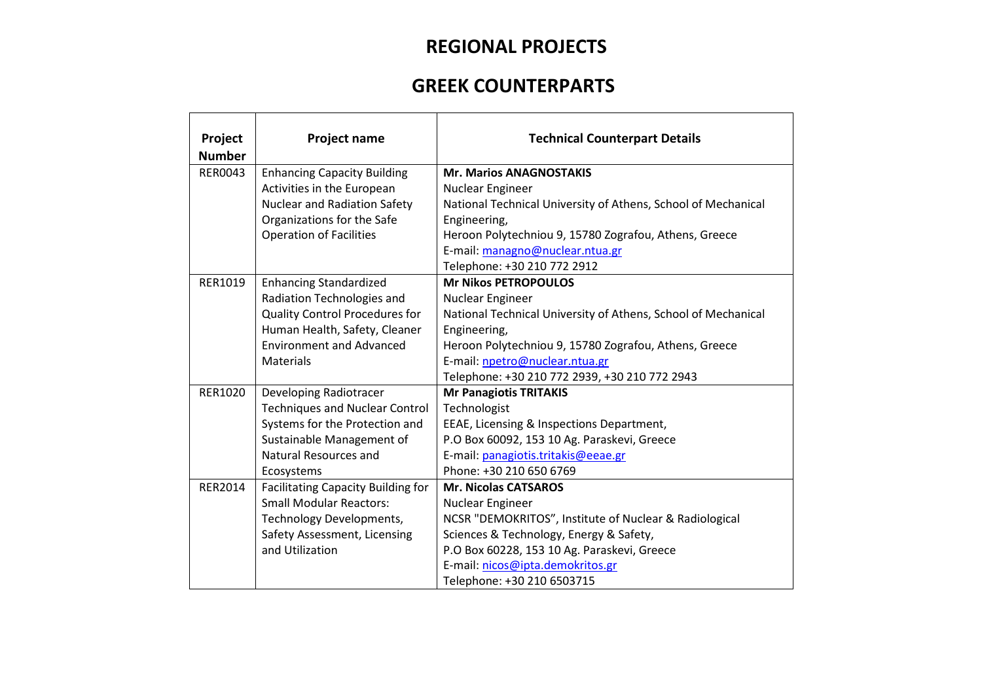## **REGIONAL PROJECTS**

## **GREEK COUNTERPARTS**

| Project<br><b>Number</b> | <b>Project name</b>                       | <b>Technical Counterpart Details</b>                          |
|--------------------------|-------------------------------------------|---------------------------------------------------------------|
| <b>RER0043</b>           | <b>Enhancing Capacity Building</b>        | <b>Mr. Marios ANAGNOSTAKIS</b>                                |
|                          | Activities in the European                | Nuclear Engineer                                              |
|                          | <b>Nuclear and Radiation Safety</b>       | National Technical University of Athens, School of Mechanical |
|                          | Organizations for the Safe                | Engineering,                                                  |
|                          | <b>Operation of Facilities</b>            | Heroon Polytechniou 9, 15780 Zografou, Athens, Greece         |
|                          |                                           | E-mail: managno@nuclear.ntua.gr                               |
|                          |                                           | Telephone: +30 210 772 2912                                   |
| RER1019                  | <b>Enhancing Standardized</b>             | <b>Mr Nikos PETROPOULOS</b>                                   |
|                          | Radiation Technologies and                | Nuclear Engineer                                              |
|                          | <b>Quality Control Procedures for</b>     | National Technical University of Athens, School of Mechanical |
|                          | Human Health, Safety, Cleaner             | Engineering,                                                  |
|                          | <b>Environment and Advanced</b>           | Heroon Polytechniou 9, 15780 Zografou, Athens, Greece         |
|                          | Materials                                 | E-mail: npetro@nuclear.ntua.gr                                |
|                          |                                           | Telephone: +30 210 772 2939, +30 210 772 2943                 |
| <b>RER1020</b>           | Developing Radiotracer                    | <b>Mr Panagiotis TRITAKIS</b>                                 |
|                          | <b>Techniques and Nuclear Control</b>     | Technologist                                                  |
|                          | Systems for the Protection and            | EEAE, Licensing & Inspections Department,                     |
|                          | Sustainable Management of                 | P.O Box 60092, 153 10 Ag. Paraskevi, Greece                   |
|                          | Natural Resources and                     | E-mail: panagiotis.tritakis@eeae.gr                           |
|                          | Ecosystems                                | Phone: +30 210 650 6769                                       |
| <b>RER2014</b>           | <b>Facilitating Capacity Building for</b> | <b>Mr. Nicolas CATSAROS</b>                                   |
|                          | <b>Small Modular Reactors:</b>            | Nuclear Engineer                                              |
|                          | Technology Developments,                  | NCSR "DEMOKRITOS", Institute of Nuclear & Radiological        |
|                          | Safety Assessment, Licensing              | Sciences & Technology, Energy & Safety,                       |
|                          | and Utilization                           | P.O Box 60228, 153 10 Ag. Paraskevi, Greece                   |
|                          |                                           | E-mail: nicos@ipta.demokritos.gr                              |
|                          |                                           | Telephone: +30 210 6503715                                    |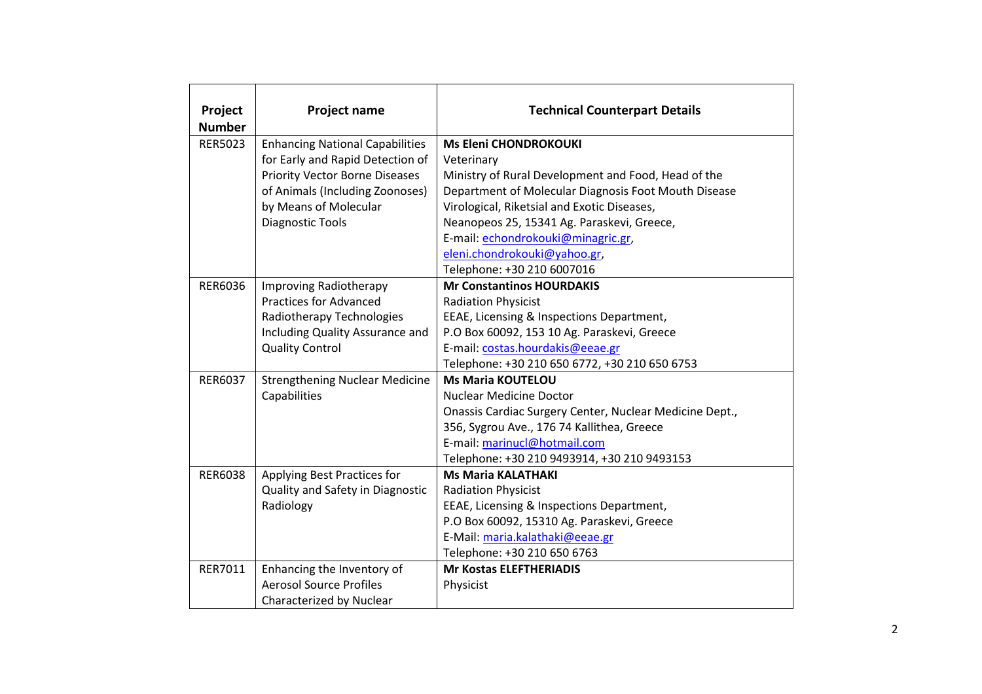| Project<br><b>Number</b> | <b>Project name</b>                    | <b>Technical Counterpart Details</b>                    |
|--------------------------|----------------------------------------|---------------------------------------------------------|
| <b>RER5023</b>           | <b>Enhancing National Capabilities</b> | <b>Ms Eleni CHONDROKOUKI</b>                            |
|                          | for Early and Rapid Detection of       | Veterinary                                              |
|                          | <b>Priority Vector Borne Diseases</b>  | Ministry of Rural Development and Food, Head of the     |
|                          | of Animals (Including Zoonoses)        | Department of Molecular Diagnosis Foot Mouth Disease    |
|                          | by Means of Molecular                  | Virological, Riketsial and Exotic Diseases,             |
|                          | <b>Diagnostic Tools</b>                | Neanopeos 25, 15341 Ag. Paraskevi, Greece,              |
|                          |                                        | E-mail: echondrokouki@minagric.gr,                      |
|                          |                                        | eleni.chondrokouki@yahoo.gr,                            |
|                          |                                        | Telephone: +30 210 6007016                              |
| RER6036                  | Improving Radiotherapy                 | <b>Mr Constantinos HOURDAKIS</b>                        |
|                          | <b>Practices for Advanced</b>          | <b>Radiation Physicist</b>                              |
|                          | Radiotherapy Technologies              | EEAE, Licensing & Inspections Department,               |
|                          | Including Quality Assurance and        | P.O Box 60092, 153 10 Ag. Paraskevi, Greece             |
|                          | <b>Quality Control</b>                 | E-mail: costas.hourdakis@eeae.gr                        |
|                          |                                        | Telephone: +30 210 650 6772, +30 210 650 6753           |
| RER6037                  | <b>Strengthening Nuclear Medicine</b>  | <b>Ms Maria KOUTELOU</b>                                |
|                          | Capabilities                           | <b>Nuclear Medicine Doctor</b>                          |
|                          |                                        | Onassis Cardiac Surgery Center, Nuclear Medicine Dept., |
|                          |                                        | 356, Sygrou Ave., 176 74 Kallithea, Greece              |
|                          |                                        | E-mail: marinucl@hotmail.com                            |
|                          |                                        | Telephone: +30 210 9493914, +30 210 9493153             |
| RER6038                  | Applying Best Practices for            | <b>Ms Maria KALATHAKI</b>                               |
|                          | Quality and Safety in Diagnostic       | <b>Radiation Physicist</b>                              |
|                          | Radiology                              | EEAE, Licensing & Inspections Department,               |
|                          |                                        | P.O Box 60092, 15310 Ag. Paraskevi, Greece              |
|                          |                                        | E-Mail: maria.kalathaki@eeae.gr                         |
|                          |                                        | Telephone: +30 210 650 6763                             |
| RER7011                  | Enhancing the Inventory of             | <b>Mr Kostas ELEFTHERIADIS</b>                          |
|                          | <b>Aerosol Source Profiles</b>         | Physicist                                               |
|                          | Characterized by Nuclear               |                                                         |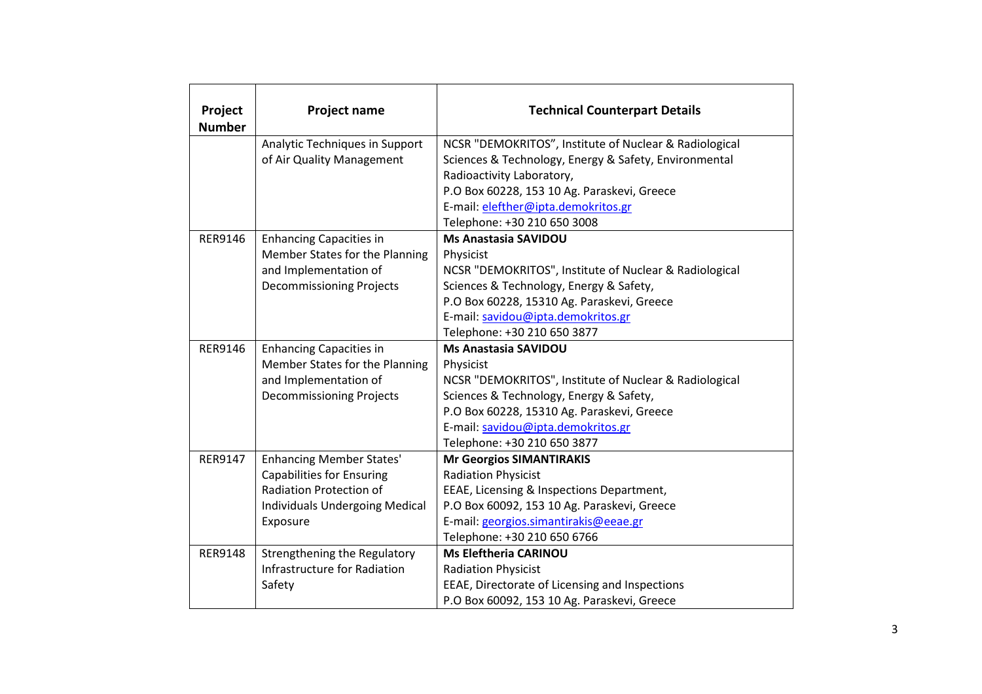| Project<br><b>Number</b> | <b>Project name</b>                   | <b>Technical Counterpart Details</b>                   |
|--------------------------|---------------------------------------|--------------------------------------------------------|
|                          | Analytic Techniques in Support        | NCSR "DEMOKRITOS", Institute of Nuclear & Radiological |
|                          | of Air Quality Management             | Sciences & Technology, Energy & Safety, Environmental  |
|                          |                                       | Radioactivity Laboratory,                              |
|                          |                                       | P.O Box 60228, 153 10 Ag. Paraskevi, Greece            |
|                          |                                       | E-mail: elefther@ipta.demokritos.gr                    |
|                          |                                       | Telephone: +30 210 650 3008                            |
| RER9146                  | <b>Enhancing Capacities in</b>        | <b>Ms Anastasia SAVIDOU</b>                            |
|                          | Member States for the Planning        | Physicist                                              |
|                          | and Implementation of                 | NCSR "DEMOKRITOS", Institute of Nuclear & Radiological |
|                          | <b>Decommissioning Projects</b>       | Sciences & Technology, Energy & Safety,                |
|                          |                                       | P.O Box 60228, 15310 Ag. Paraskevi, Greece             |
|                          |                                       | E-mail: savidou@ipta.demokritos.gr                     |
|                          |                                       | Telephone: +30 210 650 3877                            |
| RER9146                  | <b>Enhancing Capacities in</b>        | <b>Ms Anastasia SAVIDOU</b>                            |
|                          | Member States for the Planning        | Physicist                                              |
|                          | and Implementation of                 | NCSR "DEMOKRITOS", Institute of Nuclear & Radiological |
|                          | <b>Decommissioning Projects</b>       | Sciences & Technology, Energy & Safety,                |
|                          |                                       | P.O Box 60228, 15310 Ag. Paraskevi, Greece             |
|                          |                                       | E-mail: savidou@ipta.demokritos.gr                     |
|                          |                                       | Telephone: +30 210 650 3877                            |
| <b>RER9147</b>           | <b>Enhancing Member States'</b>       | <b>Mr Georgios SIMANTIRAKIS</b>                        |
|                          | <b>Capabilities for Ensuring</b>      | <b>Radiation Physicist</b>                             |
|                          | Radiation Protection of               | EEAE, Licensing & Inspections Department,              |
|                          | <b>Individuals Undergoing Medical</b> | P.O Box 60092, 153 10 Ag. Paraskevi, Greece            |
|                          | Exposure                              | E-mail: georgios.simantirakis@eeae.gr                  |
|                          |                                       | Telephone: +30 210 650 6766                            |
| <b>RER9148</b>           | Strengthening the Regulatory          | <b>Ms Eleftheria CARINOU</b>                           |
|                          | Infrastructure for Radiation          | <b>Radiation Physicist</b>                             |
|                          | Safety                                | EEAE, Directorate of Licensing and Inspections         |
|                          |                                       | P.O Box 60092, 153 10 Ag. Paraskevi, Greece            |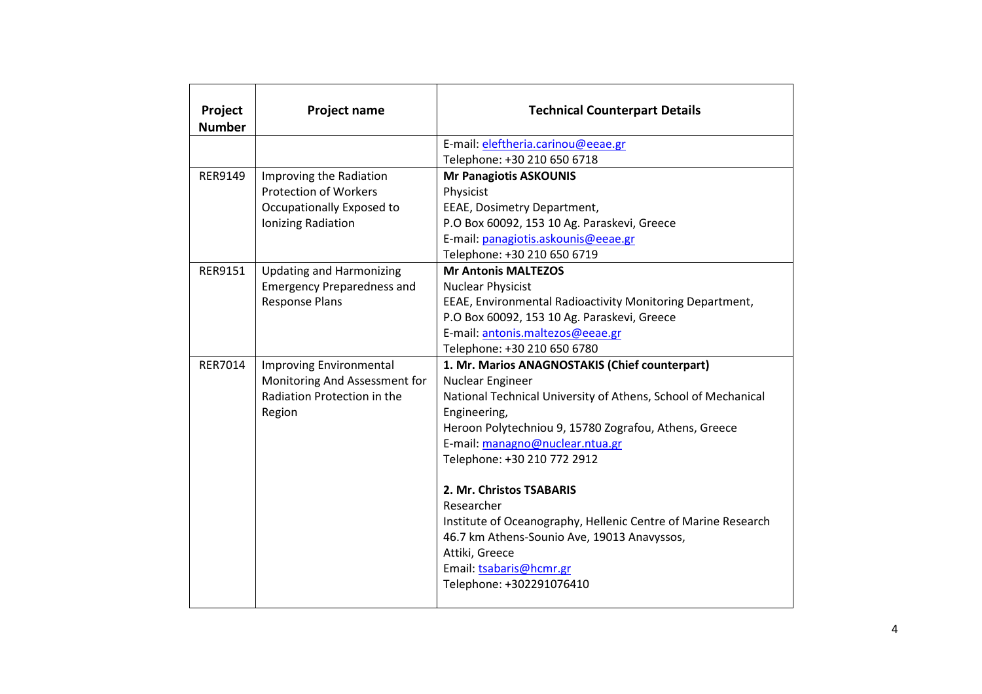| Project<br><b>Number</b> | <b>Project name</b>               | <b>Technical Counterpart Details</b>                                                                                                                                                                                            |
|--------------------------|-----------------------------------|---------------------------------------------------------------------------------------------------------------------------------------------------------------------------------------------------------------------------------|
|                          |                                   | E-mail: eleftheria.carinou@eeae.gr                                                                                                                                                                                              |
|                          |                                   | Telephone: +30 210 650 6718                                                                                                                                                                                                     |
| RER9149                  | Improving the Radiation           | <b>Mr Panagiotis ASKOUNIS</b>                                                                                                                                                                                                   |
|                          | <b>Protection of Workers</b>      | Physicist                                                                                                                                                                                                                       |
|                          | Occupationally Exposed to         | EEAE, Dosimetry Department,                                                                                                                                                                                                     |
|                          | Ionizing Radiation                | P.O Box 60092, 153 10 Ag. Paraskevi, Greece                                                                                                                                                                                     |
|                          |                                   | E-mail: panagiotis.askounis@eeae.gr                                                                                                                                                                                             |
|                          |                                   | Telephone: +30 210 650 6719                                                                                                                                                                                                     |
| <b>RER9151</b>           | <b>Updating and Harmonizing</b>   | <b>Mr Antonis MALTEZOS</b>                                                                                                                                                                                                      |
|                          | <b>Emergency Preparedness and</b> | <b>Nuclear Physicist</b>                                                                                                                                                                                                        |
|                          | <b>Response Plans</b>             | EEAE, Environmental Radioactivity Monitoring Department,                                                                                                                                                                        |
|                          |                                   | P.O Box 60092, 153 10 Ag. Paraskevi, Greece                                                                                                                                                                                     |
|                          |                                   | E-mail: antonis.maltezos@eeae.gr                                                                                                                                                                                                |
|                          |                                   | Telephone: +30 210 650 6780                                                                                                                                                                                                     |
| <b>RER7014</b>           | <b>Improving Environmental</b>    | 1. Mr. Marios ANAGNOSTAKIS (Chief counterpart)                                                                                                                                                                                  |
|                          | Monitoring And Assessment for     | Nuclear Engineer                                                                                                                                                                                                                |
|                          | Radiation Protection in the       | National Technical University of Athens, School of Mechanical                                                                                                                                                                   |
|                          | Region                            | Engineering,                                                                                                                                                                                                                    |
|                          |                                   | Heroon Polytechniou 9, 15780 Zografou, Athens, Greece                                                                                                                                                                           |
|                          |                                   | E-mail: managno@nuclear.ntua.gr                                                                                                                                                                                                 |
|                          |                                   | Telephone: +30 210 772 2912                                                                                                                                                                                                     |
|                          |                                   | 2. Mr. Christos TSABARIS<br>Researcher<br>Institute of Oceanography, Hellenic Centre of Marine Research<br>46.7 km Athens-Sounio Ave, 19013 Anavyssos,<br>Attiki, Greece<br>Email: tsabaris@hcmr.gr<br>Telephone: +302291076410 |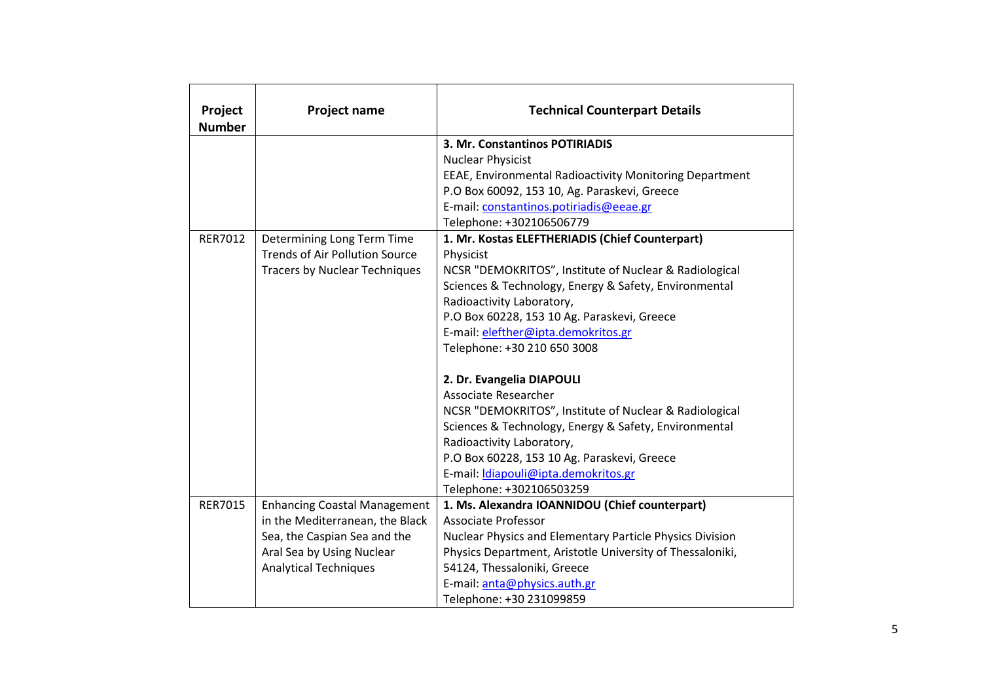| Project<br><b>Number</b> | Project name                          | <b>Technical Counterpart Details</b>                      |
|--------------------------|---------------------------------------|-----------------------------------------------------------|
|                          |                                       | 3. Mr. Constantinos POTIRIADIS                            |
|                          |                                       | <b>Nuclear Physicist</b>                                  |
|                          |                                       | EEAE, Environmental Radioactivity Monitoring Department   |
|                          |                                       | P.O Box 60092, 153 10, Ag. Paraskevi, Greece              |
|                          |                                       | E-mail: constantinos.potiriadis@eeae.gr                   |
|                          |                                       | Telephone: +302106506779                                  |
| RER7012                  | Determining Long Term Time            | 1. Mr. Kostas ELEFTHERIADIS (Chief Counterpart)           |
|                          | <b>Trends of Air Pollution Source</b> | Physicist                                                 |
|                          | <b>Tracers by Nuclear Techniques</b>  | NCSR "DEMOKRITOS", Institute of Nuclear & Radiological    |
|                          |                                       | Sciences & Technology, Energy & Safety, Environmental     |
|                          |                                       | Radioactivity Laboratory,                                 |
|                          |                                       | P.O Box 60228, 153 10 Ag. Paraskevi, Greece               |
|                          |                                       | E-mail: elefther@ipta.demokritos.gr                       |
|                          |                                       | Telephone: +30 210 650 3008                               |
|                          |                                       | 2. Dr. Evangelia DIAPOULI                                 |
|                          |                                       | <b>Associate Researcher</b>                               |
|                          |                                       | NCSR "DEMOKRITOS", Institute of Nuclear & Radiological    |
|                          |                                       | Sciences & Technology, Energy & Safety, Environmental     |
|                          |                                       | Radioactivity Laboratory,                                 |
|                          |                                       | P.O Box 60228, 153 10 Ag. Paraskevi, Greece               |
|                          |                                       | E-mail: <i>Idiapouli@ipta.demokritos.gr</i>               |
|                          |                                       | Telephone: +302106503259                                  |
| <b>RER7015</b>           | <b>Enhancing Coastal Management</b>   | 1. Ms. Alexandra IOANNIDOU (Chief counterpart)            |
|                          | in the Mediterranean, the Black       | <b>Associate Professor</b>                                |
|                          | Sea, the Caspian Sea and the          | Nuclear Physics and Elementary Particle Physics Division  |
|                          | Aral Sea by Using Nuclear             | Physics Department, Aristotle University of Thessaloniki, |
|                          | <b>Analytical Techniques</b>          | 54124, Thessaloniki, Greece                               |
|                          |                                       | E-mail: anta@physics.auth.gr                              |
|                          |                                       | Telephone: +30 231099859                                  |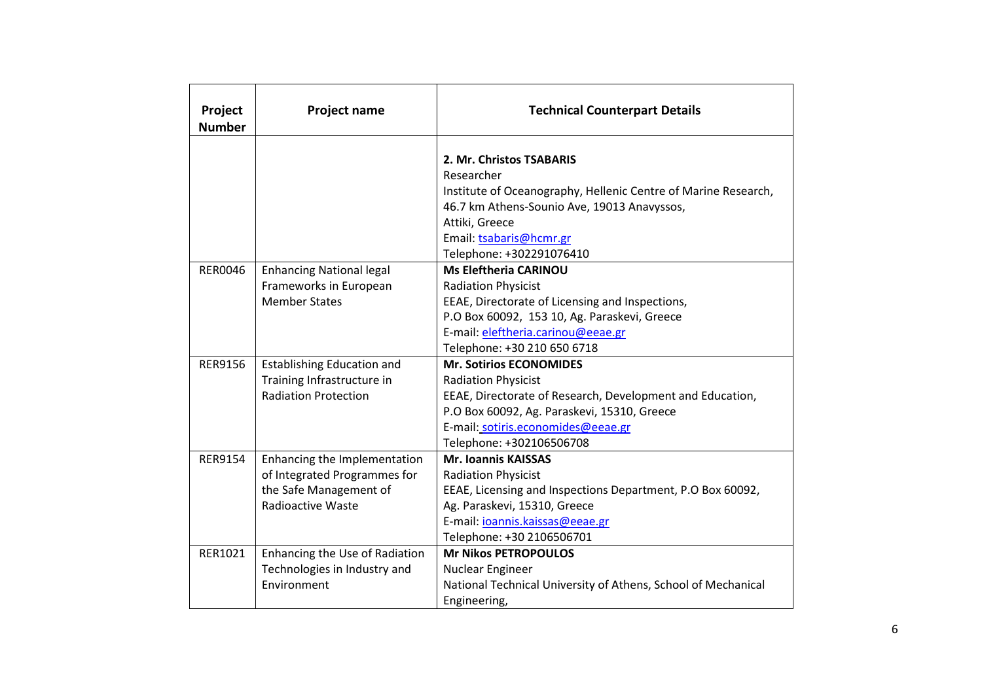| Project<br><b>Number</b> | Project name                                                                                                       | <b>Technical Counterpart Details</b>                                                                                                                                                                                                       |
|--------------------------|--------------------------------------------------------------------------------------------------------------------|--------------------------------------------------------------------------------------------------------------------------------------------------------------------------------------------------------------------------------------------|
|                          |                                                                                                                    | 2. Mr. Christos TSABARIS<br>Researcher<br>Institute of Oceanography, Hellenic Centre of Marine Research,<br>46.7 km Athens-Sounio Ave, 19013 Anavyssos,<br>Attiki, Greece                                                                  |
|                          |                                                                                                                    | Email: tsabaris@hcmr.gr<br>Telephone: +302291076410                                                                                                                                                                                        |
| <b>RER0046</b>           | <b>Enhancing National legal</b><br>Frameworks in European<br><b>Member States</b>                                  | <b>Ms Eleftheria CARINOU</b><br><b>Radiation Physicist</b><br>EEAE, Directorate of Licensing and Inspections,<br>P.O Box 60092, 153 10, Ag. Paraskevi, Greece<br>E-mail: eleftheria.carinou@eeae.gr<br>Telephone: +30 210 650 6718         |
| <b>RER9156</b>           | <b>Establishing Education and</b><br>Training Infrastructure in<br><b>Radiation Protection</b>                     | <b>Mr. Sotirios ECONOMIDES</b><br><b>Radiation Physicist</b><br>EEAE, Directorate of Research, Development and Education,<br>P.O Box 60092, Ag. Paraskevi, 15310, Greece<br>E-mail: sotiris.economides@eeae.gr<br>Telephone: +302106506708 |
| <b>RER9154</b>           | Enhancing the Implementation<br>of Integrated Programmes for<br>the Safe Management of<br><b>Radioactive Waste</b> | <b>Mr. Ioannis KAISSAS</b><br><b>Radiation Physicist</b><br>EEAE, Licensing and Inspections Department, P.O Box 60092,<br>Ag. Paraskevi, 15310, Greece<br>E-mail: joannis.kaissas@eeae.gr<br>Telephone: +30 2106506701                     |
| RER1021                  | Enhancing the Use of Radiation<br>Technologies in Industry and<br>Environment                                      | <b>Mr Nikos PETROPOULOS</b><br>Nuclear Engineer<br>National Technical University of Athens, School of Mechanical<br>Engineering,                                                                                                           |